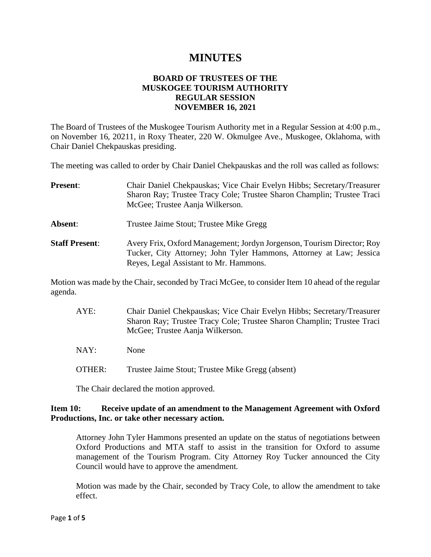# **MINUTES**

## **BOARD OF TRUSTEES OF THE MUSKOGEE TOURISM AUTHORITY REGULAR SESSION NOVEMBER 16, 2021**

The Board of Trustees of the Muskogee Tourism Authority met in a Regular Session at 4:00 p.m., on November 16, 20211, in Roxy Theater, 220 W. Okmulgee Ave., Muskogee, Oklahoma, with Chair Daniel Chekpauskas presiding.

The meeting was called to order by Chair Daniel Chekpauskas and the roll was called as follows:

| <b>Present:</b>       | Chair Daniel Chekpauskas; Vice Chair Evelyn Hibbs; Secretary/Treasurer<br>Sharon Ray; Trustee Tracy Cole; Trustee Sharon Champlin; Trustee Traci<br>McGee; Trustee Aanja Wilkerson.     |
|-----------------------|-----------------------------------------------------------------------------------------------------------------------------------------------------------------------------------------|
| Absent:               | Trustee Jaime Stout; Trustee Mike Gregg                                                                                                                                                 |
| <b>Staff Present:</b> | Avery Frix, Oxford Management; Jordyn Jorgenson, Tourism Director; Roy<br>Tucker, City Attorney; John Tyler Hammons, Attorney at Law; Jessica<br>Reyes, Legal Assistant to Mr. Hammons. |

Motion was made by the Chair, seconded by Traci McGee, to consider Item 10 ahead of the regular agenda.

AYE: Chair Daniel Chekpauskas; Vice Chair Evelyn Hibbs; Secretary/Treasurer Sharon Ray; Trustee Tracy Cole; Trustee Sharon Champlin; Trustee Traci McGee; Trustee Aanja Wilkerson.

NAY: None

OTHER: Trustee Jaime Stout; Trustee Mike Gregg (absent)

The Chair declared the motion approved.

## **Item 10: Receive update of an amendment to the Management Agreement with Oxford Productions, Inc. or take other necessary action.**

Attorney John Tyler Hammons presented an update on the status of negotiations between Oxford Productions and MTA staff to assist in the transition for Oxford to assume management of the Tourism Program. City Attorney Roy Tucker announced the City Council would have to approve the amendment.

Motion was made by the Chair, seconded by Tracy Cole, to allow the amendment to take effect.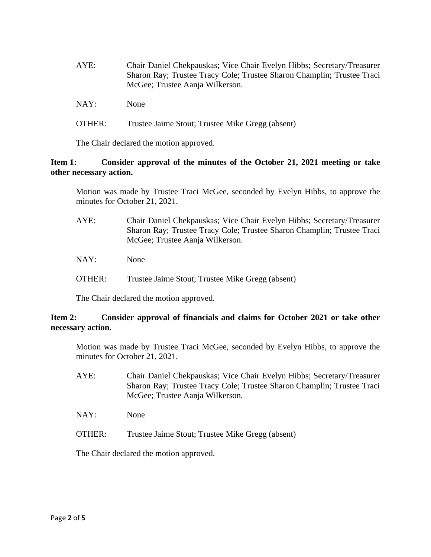| AYE: | Chair Daniel Chekpauskas; Vice Chair Evelyn Hibbs; Secretary/Treasurer<br>Sharon Ray; Trustee Tracy Cole; Trustee Sharon Champlin; Trustee Traci<br>McGee; Trustee Aanja Wilkerson. |
|------|-------------------------------------------------------------------------------------------------------------------------------------------------------------------------------------|
| NAY: | <b>None</b>                                                                                                                                                                         |

OTHER: Trustee Jaime Stout; Trustee Mike Gregg (absent)

The Chair declared the motion approved.

## **Item 1: Consider approval of the minutes of the October 21, 2021 meeting or take other necessary action.**

Motion was made by Trustee Traci McGee, seconded by Evelyn Hibbs, to approve the minutes for October 21, 2021.

- AYE: Chair Daniel Chekpauskas; Vice Chair Evelyn Hibbs; Secretary/Treasurer Sharon Ray; Trustee Tracy Cole; Trustee Sharon Champlin; Trustee Traci McGee; Trustee Aanja Wilkerson.
- NAY: None
- OTHER: Trustee Jaime Stout; Trustee Mike Gregg (absent)

The Chair declared the motion approved.

## **Item 2: Consider approval of financials and claims for October 2021 or take other necessary action.**

Motion was made by Trustee Traci McGee, seconded by Evelyn Hibbs, to approve the minutes for October 21, 2021.

- AYE: Chair Daniel Chekpauskas; Vice Chair Evelyn Hibbs; Secretary/Treasurer Sharon Ray; Trustee Tracy Cole; Trustee Sharon Champlin; Trustee Traci McGee; Trustee Aanja Wilkerson.
- NAY: None
- OTHER: Trustee Jaime Stout; Trustee Mike Gregg (absent)

The Chair declared the motion approved.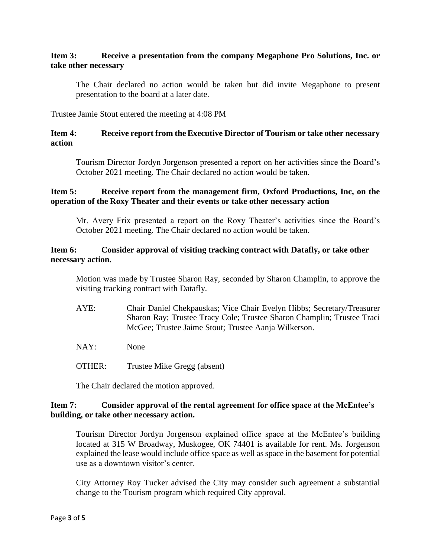## **Item 3: Receive a presentation from the company Megaphone Pro Solutions, Inc. or take other necessary**

The Chair declared no action would be taken but did invite Megaphone to present presentation to the board at a later date.

Trustee Jamie Stout entered the meeting at 4:08 PM

## **Item 4: Receive report from the Executive Director of Tourism or take other necessary action**

Tourism Director Jordyn Jorgenson presented a report on her activities since the Board's October 2021 meeting. The Chair declared no action would be taken.

## **Item 5: Receive report from the management firm, Oxford Productions, Inc, on the operation of the Roxy Theater and their events or take other necessary action**

Mr. Avery Frix presented a report on the Roxy Theater's activities since the Board's October 2021 meeting. The Chair declared no action would be taken.

## **Item 6: Consider approval of visiting tracking contract with Datafly, or take other necessary action.**

Motion was made by Trustee Sharon Ray, seconded by Sharon Champlin, to approve the visiting tracking contract with Datafly.

- AYE: Chair Daniel Chekpauskas; Vice Chair Evelyn Hibbs; Secretary/Treasurer Sharon Ray; Trustee Tracy Cole; Trustee Sharon Champlin; Trustee Traci McGee; Trustee Jaime Stout; Trustee Aanja Wilkerson.
- NAY: None
- OTHER: Trustee Mike Gregg (absent)

The Chair declared the motion approved.

## **Item 7: Consider approval of the rental agreement for office space at the McEntee's building, or take other necessary action.**

Tourism Director Jordyn Jorgenson explained office space at the McEntee's building located at 315 W Broadway, Muskogee, OK 74401 is available for rent. Ms. Jorgenson explained the lease would include office space as well as space in the basement for potential use as a downtown visitor's center.

City Attorney Roy Tucker advised the City may consider such agreement a substantial change to the Tourism program which required City approval.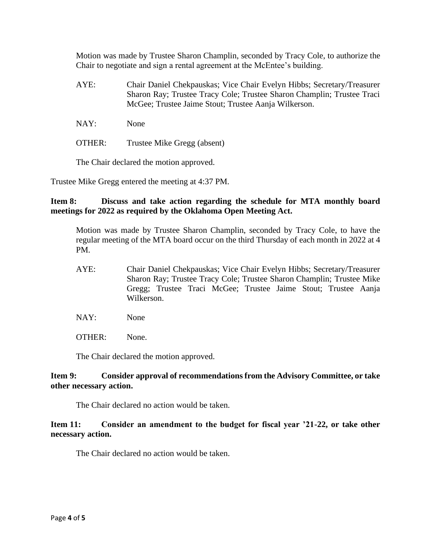Motion was made by Trustee Sharon Champlin, seconded by Tracy Cole, to authorize the Chair to negotiate and sign a rental agreement at the McEntee's building.

- AYE: Chair Daniel Chekpauskas; Vice Chair Evelyn Hibbs; Secretary/Treasurer Sharon Ray; Trustee Tracy Cole; Trustee Sharon Champlin; Trustee Traci McGee; Trustee Jaime Stout; Trustee Aanja Wilkerson.
- NAY: None
- OTHER: Trustee Mike Gregg (absent)

The Chair declared the motion approved.

Trustee Mike Gregg entered the meeting at 4:37 PM.

## **Item 8: Discuss and take action regarding the schedule for MTA monthly board meetings for 2022 as required by the Oklahoma Open Meeting Act.**

Motion was made by Trustee Sharon Champlin, seconded by Tracy Cole, to have the regular meeting of the MTA board occur on the third Thursday of each month in 2022 at 4 PM.

- AYE: Chair Daniel Chekpauskas; Vice Chair Evelyn Hibbs; Secretary/Treasurer Sharon Ray; Trustee Tracy Cole; Trustee Sharon Champlin; Trustee Mike Gregg; Trustee Traci McGee; Trustee Jaime Stout; Trustee Aanja Wilkerson.
- NAY: None
- OTHER: None.

The Chair declared the motion approved.

## **Item 9: Consider approval of recommendations from the Advisory Committee, or take other necessary action.**

The Chair declared no action would be taken.

#### **Item 11: Consider an amendment to the budget for fiscal year '21-22, or take other necessary action.**

The Chair declared no action would be taken.